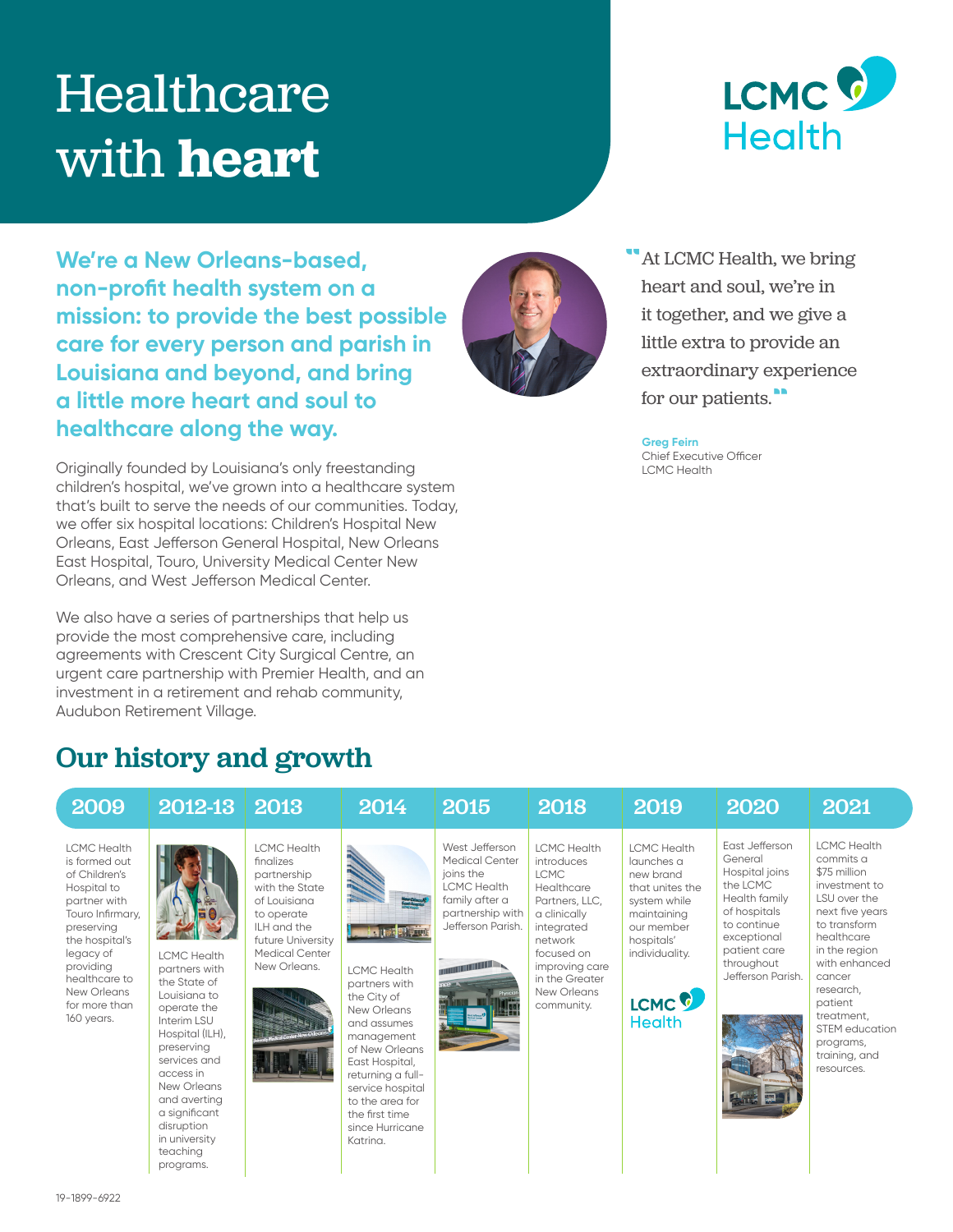# Healthcare with **heart**



**We're a New Orleans-based, non-profit health system on a mission: to provide the best possible care for every person and parish in Louisiana and beyond, and bring a little more heart and soul to healthcare along the way.**

Originally founded by Louisiana's only freestanding children's hospital, we've grown into a healthcare system that's built to serve the needs of our communities. Today, we offer six hospital locations: Children's Hospital New Orleans, East Jefferson General Hospital, New Orleans East Hospital, Touro, University Medical Center New Orleans, and West Jefferson Medical Center.

We also have a series of partnerships that help us provide the most comprehensive care, including agreements with Crescent City Surgical Centre, an urgent care partnership with Premier Health, and an investment in a retirement and rehab community, Audubon Retirement Village.

Our history and growth



At LCMC Health, we bring heart and soul, we're in it together, and we give a little extra to provide an extraordinary experience for our patients."

**Greg Feirn**  Chief Executive Officer LCMC Health

| 2009                                                                                                                                                                                                                             | 2012-13                                                                                                                                                                                                                                                    | 2013                                                                                                                                                                        | 2014                                                                                                                                                                                                                                            | 2015                                                                                                                                                      | 2018                                                                                                                                                                                                    | 2019                                                                                                                                                                                | 2020                                                                                                                                                                      | 2021                                                                                                                                                                                                                                                                              |
|----------------------------------------------------------------------------------------------------------------------------------------------------------------------------------------------------------------------------------|------------------------------------------------------------------------------------------------------------------------------------------------------------------------------------------------------------------------------------------------------------|-----------------------------------------------------------------------------------------------------------------------------------------------------------------------------|-------------------------------------------------------------------------------------------------------------------------------------------------------------------------------------------------------------------------------------------------|-----------------------------------------------------------------------------------------------------------------------------------------------------------|---------------------------------------------------------------------------------------------------------------------------------------------------------------------------------------------------------|-------------------------------------------------------------------------------------------------------------------------------------------------------------------------------------|---------------------------------------------------------------------------------------------------------------------------------------------------------------------------|-----------------------------------------------------------------------------------------------------------------------------------------------------------------------------------------------------------------------------------------------------------------------------------|
| <b>LCMC</b> Health<br>is formed out<br>of Children's<br>Hospital to<br>partner with<br>Touro Infirmary,<br>preserving<br>the hospital's<br>legacy of<br>providing<br>healthcare to<br>New Orleans<br>for more than<br>160 years. | <b>LCMC Health</b><br>partners with<br>the State of<br>Louisiana to<br>operate the<br>Interim LSU<br>Hospital (ILH),<br>preserving<br>services and<br>access in<br>New Orleans<br>and averting<br>a significant<br>disruption<br>in university<br>teachina | <b>LCMC</b> Health<br>finalizes<br>partnership<br>with the State<br>of Louisiana<br>to operate<br>ILH and the<br>future University<br><b>Medical Center</b><br>New Orleans. | <b>LCMC Health</b><br>partners with<br>the City of<br>New Orleans<br>and assumes<br>management<br>of New Orleans<br>East Hospital,<br>returning a full-<br>service hospital<br>to the area for<br>the first time<br>since Hurricane<br>Katrina. | West Jefferson<br><b>Medical Center</b><br>joins the<br><b>LCMC Health</b><br>family after a<br>partnership with<br>Jefferson Parish.<br><b>CONTINUES</b> | <b>LCMC Health</b><br>introduces<br><b>LCMC</b><br>Healthcare<br>Partners, LLC,<br>a clinically<br>integrated<br>network<br>focused on<br>improving care<br>in the Greater<br>New Orleans<br>community. | <b>LCMC Health</b><br>launches a<br>new brand<br>that unites the<br>system while<br>maintaining<br>our member<br>hospitals'<br>individuality.<br>LCMC <sup>C</sup><br><b>Health</b> | East Jefferson<br>General<br>Hospital joins<br>the LCMC<br>Health family<br>of hospitals<br>to continue<br>exceptional<br>patient care<br>throughout<br>Jefferson Parish. | <b>LCMC Health</b><br>commits a<br>\$75 million<br>investment to<br>LSU over the<br>next five years<br>to transform<br>healthcare<br>in the region<br>with enhanced<br>cancer<br>research,<br>patient<br>treatment.<br>STEM education<br>programs,<br>training, and<br>resources. |

programs.